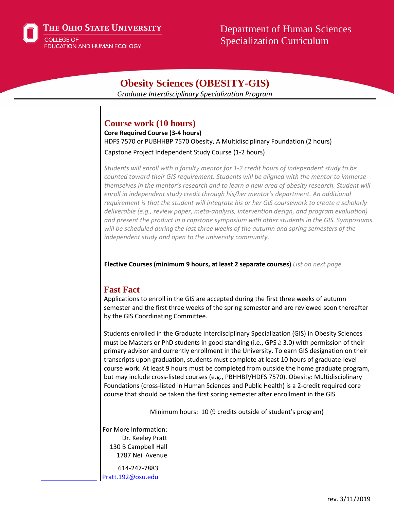The Ohio State University



Department of Human Sciences Specialization Curriculum

# **Obesity Sciences (OBESITY-GIS)**

*Graduate Interdisciplinary Specialization Program*

## **Course work (10 hours)**

**Core Required Course (3-4 hours)**  HDFS 7570 or PUBHHBP 7570 Obesity, A Multidisciplinary Foundation (2 hours)

Capstone Project Independent Study Course (1-2 hours)

*Students will enroll with a faculty mentor for 1-2 credit hours of independent study to be counted toward their GIS requirement. Students will be aligned with the mentor to immerse themselves in the mentor's research and to learn a new area of obesity research. Student will enroll in independent study credit through his/her mentor's department. An additional requirement is that the student will integrate his or her GIS coursework to create a scholarly deliverable (e.g., review paper, meta-analysis, intervention design, and program evaluation) and present the product in a capstone symposium with other students in the GIS. Symposiums will be scheduled during the last three weeks of the autumn and spring semesters of the independent study and open to the university community.*

**Elective Courses (minimum 9 hours, at least 2 separate courses)** *List on next page*

## **Fast Fact**

Applications to enroll in the GIS are accepted during the first three weeks of autumn semester and the first three weeks of the spring semester and are reviewed soon thereafter by the GIS Coordinating Committee.

Students enrolled in the Graduate Interdisciplinary Specialization (GIS) in Obesity Sciences must be Masters or PhD students in good standing (i.e., GPS  $\geq$  3.0) with permission of their primary advisor and currently enrollment in the University. To earn GIS designation on their transcripts upon graduation, students must complete at least 10 hours of graduate-level course work. At least 9 hours must be completed from outside the home graduate program, but may include cross-listed courses (e.g., PBHHBP/HDFS 7570). Obesity: Multidisciplinary Foundations (cross-listed in Human Sciences and Public Health) is a 2-credit required core course that should be taken the first spring semester after enrollment in the GIS.

Minimum hours: 10 (9 credits outside of student's program)

For More Information: Dr. Keeley Pratt 130 B Campbell Hall 1787 Neil Avenue

614-247-7883 Pratt.192@osu.edu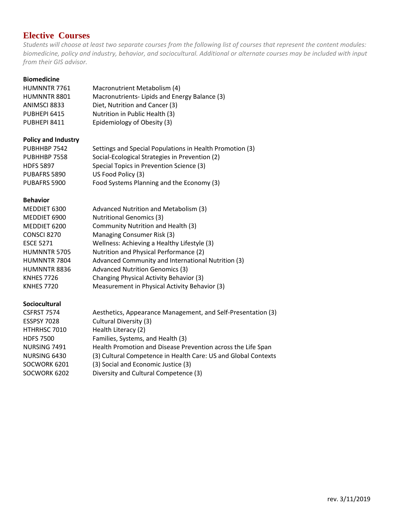# **Elective Courses**

*Students will choose at least two separate courses from the following list of courses that represent the content modules: biomedicine, policy and industry, behavior, and sociocultural. Additional or alternate courses may be included with input from their GIS advisor.*

#### **Biomedicine**

| HUMNNTR 7761        | Macronutrient Metabolism (4)                 |
|---------------------|----------------------------------------------|
| <b>HUMNNTR 8801</b> | Macronutrients-Lipids and Energy Balance (3) |
| ANIMSCI 8833        | Diet, Nutrition and Cancer (3)               |
| PUBHEPI 6415        | Nutrition in Public Health (3)               |
| PUBHEPI 8411        | Epidemiology of Obesity (3)                  |

#### **Policy and Industry**

| PUBHHBP 7542     | Settings and Special Populations in Health Promotion (3) |
|------------------|----------------------------------------------------------|
| PUBHHBP 7558     | Social-Ecological Strategies in Prevention (2)           |
| <b>HDFS 5897</b> | Special Topics in Prevention Science (3)                 |
| PUBAFRS 5890     | US Food Policy (3)                                       |
| PUBAFRS 5900     | Food Systems Planning and the Economy (3)                |

#### **Behavior**

| MEDDIET 6300        | Advanced Nutrition and Metabolism (3)              |
|---------------------|----------------------------------------------------|
| MEDDIET 6900        | <b>Nutritional Genomics (3)</b>                    |
| MEDDIET 6200        | Community Nutrition and Health (3)                 |
| CONSCI 8270         | Managing Consumer Risk (3)                         |
| <b>ESCE 5271</b>    | Wellness: Achieving a Healthy Lifestyle (3)        |
| <b>HUMNNTR 5705</b> | Nutrition and Physical Performance (2)             |
| HUMNNTR 7804        | Advanced Community and International Nutrition (3) |
| HUMNNTR 8836        | <b>Advanced Nutrition Genomics (3)</b>             |
| <b>KNHES 7726</b>   | Changing Physical Activity Behavior (3)            |
| <b>KNHES 7720</b>   | Measurement in Physical Activity Behavior (3)      |
|                     |                                                    |

#### **Sociocultural**

| <b>CSFRST 7574</b> | Aesthetics, Appearance Management, and Self-Presentation (3)   |
|--------------------|----------------------------------------------------------------|
| <b>ESSPSY 7028</b> | Cultural Diversity (3)                                         |
| HTHRHSC 7010       | Health Literacy (2)                                            |
| <b>HDFS 7500</b>   | Families, Systems, and Health (3)                              |
| NURSING 7491       | Health Promotion and Disease Prevention across the Life Span   |
| NURSING 6430       | (3) Cultural Competence in Health Care: US and Global Contexts |
| SOCWORK 6201       | (3) Social and Economic Justice (3)                            |
| SOCWORK 6202       | Diversity and Cultural Competence (3)                          |